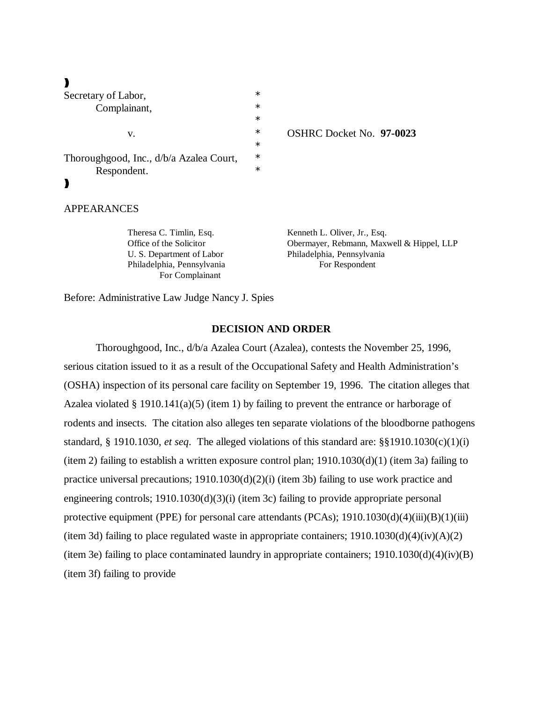| Secretary of Labor,                     | $\ast$ |                                 |
|-----------------------------------------|--------|---------------------------------|
| Complainant,                            | $\ast$ |                                 |
|                                         | $\ast$ |                                 |
| v.                                      | $\ast$ | <b>OSHRC Docket No. 97-0023</b> |
|                                         | $\ast$ |                                 |
| Thoroughgood, Inc., d/b/a Azalea Court, | $\ast$ |                                 |
| Respondent.                             | $\ast$ |                                 |
|                                         |        |                                 |

### APPEARANCES

Theresa C. Timlin, Esq. Kenneth L. Oliver, Jr., Esq. Office of the Solicitor Obermayer, Rebmann, Maxwell & Hippel, LLP U. S. Department of Labor Philadelphia, Pennsylvania Philadelphia, Pennsylvania For Respondent For Complainant

Before: Administrative Law Judge Nancy J. Spies

### **DECISION AND ORDER**

Thoroughgood, Inc., d/b/a Azalea Court (Azalea), contests the November 25, 1996, serious citation issued to it as a result of the Occupational Safety and Health Administration's (OSHA) inspection of its personal care facility on September 19, 1996. The citation alleges that Azalea violated § 1910.141(a)(5) (item 1) by failing to prevent the entrance or harborage of rodents and insects. The citation also alleges ten separate violations of the bloodborne pathogens standard, § 1910.1030, *et seq*. The alleged violations of this standard are: §§1910.1030(c)(1)(i) (item 2) failing to establish a written exposure control plan; 1910.1030(d)(1) (item 3a) failing to practice universal precautions; 1910.1030(d)(2)(i) (item 3b) failing to use work practice and engineering controls; 1910.1030(d)(3)(i) (item 3c) failing to provide appropriate personal protective equipment (PPE) for personal care attendants (PCAs);  $1910.1030(d)(4)(iii)(B)(1)(iii)$ (item 3d) failing to place regulated waste in appropriate containers;  $1910.1030(d)(4)(iv)(A)(2)$ (item 3e) failing to place contaminated laundry in appropriate containers; 1910.1030(d)(4)(iv)(B) (item 3f) failing to provide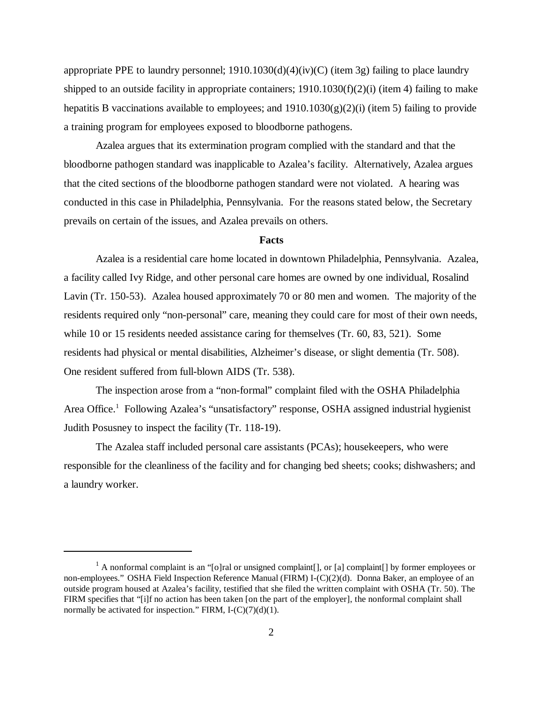appropriate PPE to laundry personnel; 1910.1030(d)(4)(iv)(C) (item 3g) failing to place laundry shipped to an outside facility in appropriate containers; 1910.1030(f)(2)(i) (item 4) failing to make hepatitis B vaccinations available to employees; and  $1910.1030(g)(2)(i)$  (item 5) failing to provide a training program for employees exposed to bloodborne pathogens.

Azalea argues that its extermination program complied with the standard and that the bloodborne pathogen standard was inapplicable to Azalea's facility. Alternatively, Azalea argues that the cited sections of the bloodborne pathogen standard were not violated. A hearing was conducted in this case in Philadelphia, Pennsylvania. For the reasons stated below, the Secretary prevails on certain of the issues, and Azalea prevails on others.

# **Facts**

Azalea is a residential care home located in downtown Philadelphia, Pennsylvania. Azalea, a facility called Ivy Ridge, and other personal care homes are owned by one individual, Rosalind Lavin (Tr. 150-53). Azalea housed approximately 70 or 80 men and women. The majority of the residents required only "non-personal" care, meaning they could care for most of their own needs, while 10 or 15 residents needed assistance caring for themselves (Tr. 60, 83, 521). Some residents had physical or mental disabilities, Alzheimer's disease, or slight dementia (Tr. 508). One resident suffered from full-blown AIDS (Tr. 538).

The inspection arose from a "non-formal" complaint filed with the OSHA Philadelphia Area Office.<sup>1</sup> Following Azalea's "unsatisfactory" response, OSHA assigned industrial hygienist Judith Posusney to inspect the facility (Tr. 118-19).

The Azalea staff included personal care assistants (PCAs); housekeepers, who were responsible for the cleanliness of the facility and for changing bed sheets; cooks; dishwashers; and a laundry worker.

<sup>&</sup>lt;sup>1</sup> A nonformal complaint is an "[o]ral or unsigned complaint[], or [a] complaint[] by former employees or non-employees." OSHA Field Inspection Reference Manual (FIRM) I-(C)(2)(d). Donna Baker, an employee of an outside program housed at Azalea's facility, testified that she filed the written complaint with OSHA (Tr. 50). The FIRM specifies that "[i]f no action has been taken [on the part of the employer], the nonformal complaint shall normally be activated for inspection." FIRM,  $I-(C)(7)(d)(1)$ .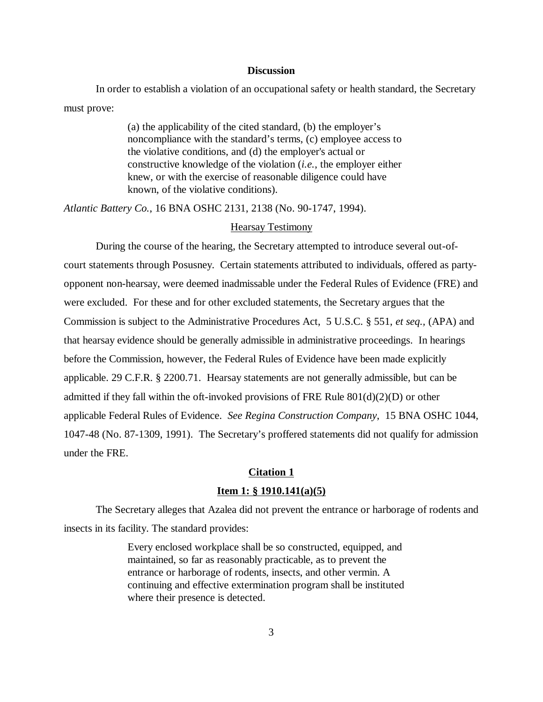### **Discussion**

In order to establish a violation of an occupational safety or health standard, the Secretary must prove:

> (a) the applicability of the cited standard, (b) the employer's noncompliance with the standard's terms, (c) employee access to the violative conditions, and (d) the employer's actual or constructive knowledge of the violation (*i.e.*, the employer either knew, or with the exercise of reasonable diligence could have known, of the violative conditions).

*Atlantic Battery Co.*, 16 BNA OSHC 2131, 2138 (No. 90-1747, 1994).

#### Hearsay Testimony

During the course of the hearing, the Secretary attempted to introduce several out-ofcourt statements through Posusney. Certain statements attributed to individuals, offered as partyopponent non-hearsay, were deemed inadmissable under the Federal Rules of Evidence (FRE) and were excluded. For these and for other excluded statements, the Secretary argues that the Commission is subject to the Administrative Procedures Act, 5 U.S.C. § 551, *et seq.,* (APA) and that hearsay evidence should be generally admissible in administrative proceedings. In hearings before the Commission, however, the Federal Rules of Evidence have been made explicitly applicable. 29 C.F.R. § 2200.71. Hearsay statements are not generally admissible, but can be admitted if they fall within the oft-invoked provisions of FRE Rule  $801(d)(2)(D)$  or other applicable Federal Rules of Evidence. *See Regina Construction Company*, 15 BNA OSHC 1044, 1047-48 (No. 87-1309, 1991). The Secretary's proffered statements did not qualify for admission under the FRE.

#### **Citation 1**

### **Item 1: § 1910.141(a)(5)**

The Secretary alleges that Azalea did not prevent the entrance or harborage of rodents and insects in its facility. The standard provides:

> Every enclosed workplace shall be so constructed, equipped, and maintained, so far as reasonably practicable, as to prevent the entrance or harborage of rodents, insects, and other vermin. A continuing and effective extermination program shall be instituted where their presence is detected.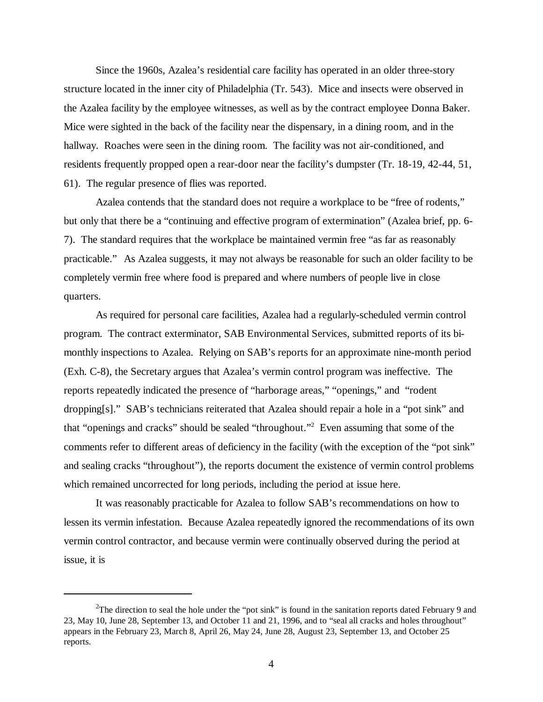Since the 1960s, Azalea's residential care facility has operated in an older three-story structure located in the inner city of Philadelphia (Tr. 543). Mice and insects were observed in the Azalea facility by the employee witnesses, as well as by the contract employee Donna Baker. Mice were sighted in the back of the facility near the dispensary, in a dining room, and in the hallway. Roaches were seen in the dining room. The facility was not air-conditioned, and residents frequently propped open a rear-door near the facility's dumpster (Tr. 18-19, 42-44, 51, 61). The regular presence of flies was reported.

Azalea contends that the standard does not require a workplace to be "free of rodents," but only that there be a "continuing and effective program of extermination" (Azalea brief, pp. 6- 7). The standard requires that the workplace be maintained vermin free "as far as reasonably practicable." As Azalea suggests, it may not always be reasonable for such an older facility to be completely vermin free where food is prepared and where numbers of people live in close quarters.

As required for personal care facilities, Azalea had a regularly-scheduled vermin control program. The contract exterminator, SAB Environmental Services, submitted reports of its bimonthly inspections to Azalea. Relying on SAB's reports for an approximate nine-month period (Exh. C-8), the Secretary argues that Azalea's vermin control program was ineffective. The reports repeatedly indicated the presence of "harborage areas," "openings," and "rodent dropping[s]." SAB's technicians reiterated that Azalea should repair a hole in a "pot sink" and that "openings and cracks" should be sealed "throughout." 2 Even assuming that some of the comments refer to different areas of deficiency in the facility (with the exception of the "pot sink" and sealing cracks "throughout"), the reports document the existence of vermin control problems which remained uncorrected for long periods, including the period at issue here.

It was reasonably practicable for Azalea to follow SAB's recommendations on how to lessen its vermin infestation. Because Azalea repeatedly ignored the recommendations of its own vermin control contractor, and because vermin were continually observed during the period at issue, it is

<sup>&</sup>lt;sup>2</sup>The direction to seal the hole under the "pot sink" is found in the sanitation reports dated February 9 and 23, May 10, June 28, September 13, and October 11 and 21, 1996, and to "seal all cracks and holes throughout" appears in the February 23, March 8, April 26, May 24, June 28, August 23, September 13, and October 25 reports.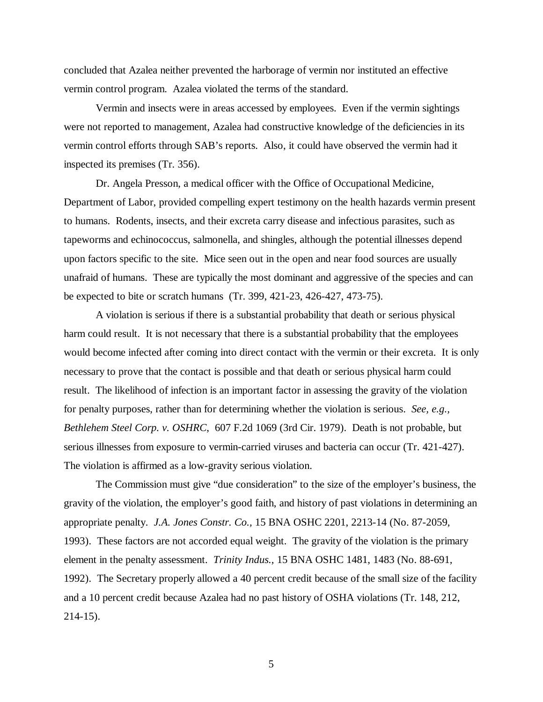concluded that Azalea neither prevented the harborage of vermin nor instituted an effective vermin control program. Azalea violated the terms of the standard.

Vermin and insects were in areas accessed by employees. Even if the vermin sightings were not reported to management, Azalea had constructive knowledge of the deficiencies in its vermin control efforts through SAB's reports. Also, it could have observed the vermin had it inspected its premises (Tr. 356).

Dr. Angela Presson, a medical officer with the Office of Occupational Medicine, Department of Labor, provided compelling expert testimony on the health hazards vermin present to humans. Rodents, insects, and their excreta carry disease and infectious parasites, such as tapeworms and echinococcus, salmonella, and shingles, although the potential illnesses depend upon factors specific to the site. Mice seen out in the open and near food sources are usually unafraid of humans. These are typically the most dominant and aggressive of the species and can be expected to bite or scratch humans (Tr. 399, 421-23, 426-427, 473-75).

A violation is serious if there is a substantial probability that death or serious physical harm could result. It is not necessary that there is a substantial probability that the employees would become infected after coming into direct contact with the vermin or their excreta. It is only necessary to prove that the contact is possible and that death or serious physical harm could result. The likelihood of infection is an important factor in assessing the gravity of the violation for penalty purposes, rather than for determining whether the violation is serious. *See, e.g., Bethlehem Steel Corp. v. OSHRC*, 607 F.2d 1069 (3rd Cir. 1979). Death is not probable, but serious illnesses from exposure to vermin-carried viruses and bacteria can occur (Tr. 421-427). The violation is affirmed as a low-gravity serious violation.

The Commission must give "due consideration" to the size of the employer's business, the gravity of the violation, the employer's good faith, and history of past violations in determining an appropriate penalty. *J.A. Jones Constr. Co.,* 15 BNA OSHC 2201, 2213-14 (No. 87-2059, 1993). These factors are not accorded equal weight. The gravity of the violation is the primary element in the penalty assessment. *Trinity Indus.,* 15 BNA OSHC 1481, 1483 (No. 88-691, 1992). The Secretary properly allowed a 40 percent credit because of the small size of the facility and a 10 percent credit because Azalea had no past history of OSHA violations (Tr. 148, 212, 214-15).

5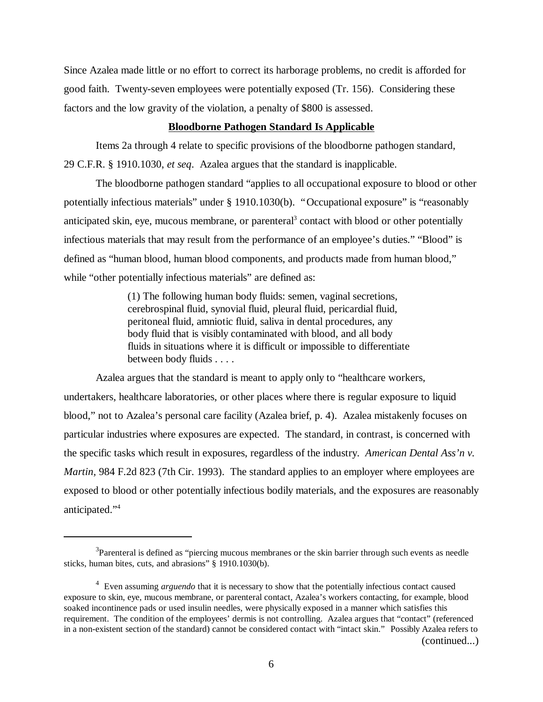Since Azalea made little or no effort to correct its harborage problems, no credit is afforded for good faith. Twenty-seven employees were potentially exposed (Tr. 156). Considering these factors and the low gravity of the violation, a penalty of \$800 is assessed.

## **Bloodborne Pathogen Standard Is Applicable**

Items 2a through 4 relate to specific provisions of the bloodborne pathogen standard, 29 C.F.R. § 1910.1030, *et seq*. Azalea argues that the standard is inapplicable.

The bloodborne pathogen standard "applies to all occupational exposure to blood or other potentially infectious materials" under § 1910.1030(b). "Occupational exposure" is "reasonably anticipated skin, eye, mucous membrane, or parenteral<sup>3</sup> contact with blood or other potentially infectious materials that may result from the performance of an employee's duties." "Blood" is defined as "human blood, human blood components, and products made from human blood," while "other potentially infectious materials" are defined as:

> (1) The following human body fluids: semen, vaginal secretions, cerebrospinal fluid, synovial fluid, pleural fluid, pericardial fluid, peritoneal fluid, amniotic fluid, saliva in dental procedures, any body fluid that is visibly contaminated with blood, and all body fluids in situations where it is difficult or impossible to differentiate between body fluids . . . .

Azalea argues that the standard is meant to apply only to "healthcare workers, undertakers, healthcare laboratories, or other places where there is regular exposure to liquid blood," not to Azalea's personal care facility (Azalea brief, p. 4). Azalea mistakenly focuses on particular industries where exposures are expected. The standard, in contrast, is concerned with the specific tasks which result in exposures, regardless of the industry. *American Dental Ass'n v. Martin,* 984 F.2d 823 (7th Cir. 1993). The standard applies to an employer where employees are exposed to blood or other potentially infectious bodily materials, and the exposures are reasonably anticipated." 4

<sup>&</sup>lt;sup>3</sup>Parenteral is defined as "piercing mucous membranes or the skin barrier through such events as needle sticks, human bites, cuts, and abrasions" § 1910.1030(b).

<sup>4</sup> Even assuming *arguendo* that it is necessary to show that the potentially infectious contact caused exposure to skin, eye, mucous membrane, or parenteral contact, Azalea's workers contacting, for example, blood soaked incontinence pads or used insulin needles, were physically exposed in a manner which satisfies this requirement. The condition of the employees' dermis is not controlling. Azalea argues that "contact" (referenced in a non-existent section of the standard) cannot be considered contact with "intact skin." Possibly Azalea refers to (continued...)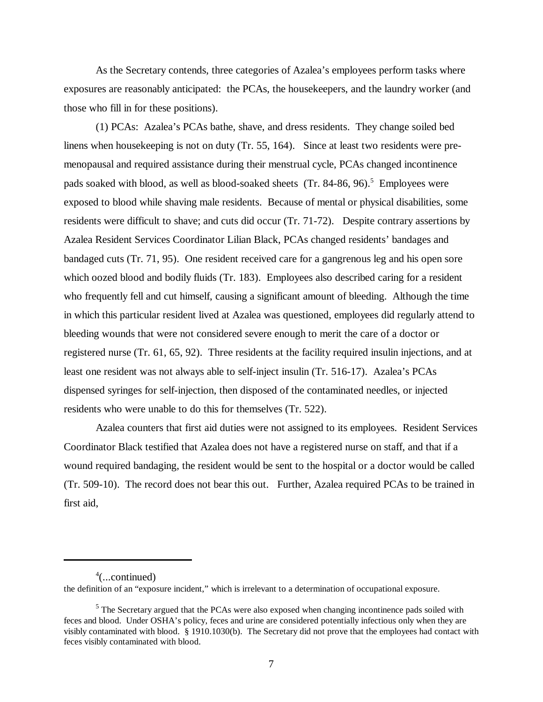As the Secretary contends, three categories of Azalea's employees perform tasks where exposures are reasonably anticipated: the PCAs, the housekeepers, and the laundry worker (and those who fill in for these positions).

(1) PCAs: Azalea's PCAs bathe, shave, and dress residents. They change soiled bed linens when housekeeping is not on duty (Tr. 55, 164). Since at least two residents were premenopausal and required assistance during their menstrual cycle, PCAs changed incontinence pads soaked with blood, as well as blood-soaked sheets (Tr. 84-86, 96).<sup>5</sup> Employees were exposed to blood while shaving male residents. Because of mental or physical disabilities, some residents were difficult to shave; and cuts did occur (Tr. 71-72). Despite contrary assertions by Azalea Resident Services Coordinator Lilian Black, PCAs changed residents' bandages and bandaged cuts (Tr. 71, 95). One resident received care for a gangrenous leg and his open sore which oozed blood and bodily fluids (Tr. 183). Employees also described caring for a resident who frequently fell and cut himself, causing a significant amount of bleeding. Although the time in which this particular resident lived at Azalea was questioned, employees did regularly attend to bleeding wounds that were not considered severe enough to merit the care of a doctor or registered nurse (Tr. 61, 65, 92). Three residents at the facility required insulin injections, and at least one resident was not always able to self-inject insulin (Tr. 516-17). Azalea's PCAs dispensed syringes for self-injection, then disposed of the contaminated needles, or injected residents who were unable to do this for themselves (Tr. 522).

Azalea counters that first aid duties were not assigned to its employees. Resident Services Coordinator Black testified that Azalea does not have a registered nurse on staff, and that if a wound required bandaging, the resident would be sent to the hospital or a doctor would be called (Tr. 509-10). The record does not bear this out. Further, Azalea required PCAs to be trained in first aid,

<sup>4</sup> (...continued)

the definition of an "exposure incident," which is irrelevant to a determination of occupational exposure.

 $<sup>5</sup>$  The Secretary argued that the PCAs were also exposed when changing incontinence pads soiled with</sup> feces and blood. Under OSHA's policy, feces and urine are considered potentially infectious only when they are visibly contaminated with blood. § 1910.1030(b). The Secretary did not prove that the employees had contact with feces visibly contaminated with blood.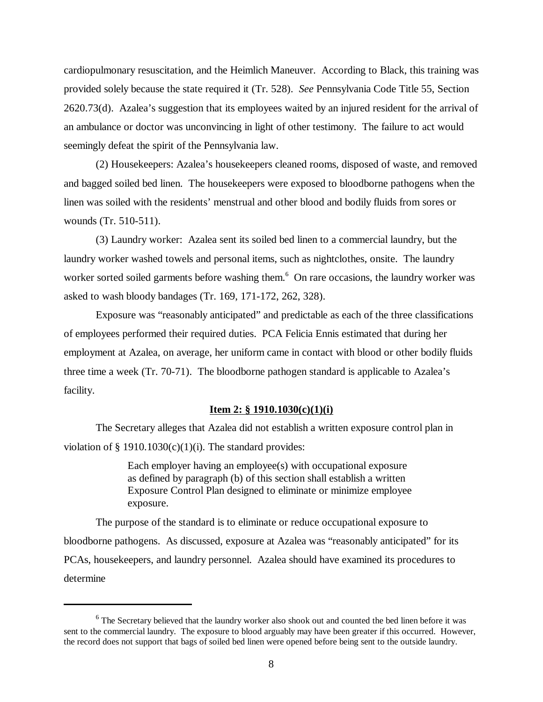cardiopulmonary resuscitation, and the Heimlich Maneuver. According to Black, this training was provided solely because the state required it (Tr. 528). *See* Pennsylvania Code Title 55, Section 2620.73(d). Azalea's suggestion that its employees waited by an injured resident for the arrival of an ambulance or doctor was unconvincing in light of other testimony. The failure to act would seemingly defeat the spirit of the Pennsylvania law.

(2) Housekeepers: Azalea's housekeepers cleaned rooms, disposed of waste, and removed and bagged soiled bed linen. The housekeepers were exposed to bloodborne pathogens when the linen was soiled with the residents' menstrual and other blood and bodily fluids from sores or wounds (Tr. 510-511).

(3) Laundry worker: Azalea sent its soiled bed linen to a commercial laundry, but the laundry worker washed towels and personal items, such as nightclothes, onsite. The laundry worker sorted soiled garments before washing them.<sup>6</sup> On rare occasions, the laundry worker was asked to wash bloody bandages (Tr. 169, 171-172, 262, 328).

Exposure was "reasonably anticipated" and predictable as each of the three classifications of employees performed their required duties. PCA Felicia Ennis estimated that during her employment at Azalea, on average, her uniform came in contact with blood or other bodily fluids three time a week (Tr. 70-71). The bloodborne pathogen standard is applicable to Azalea's facility.

#### **Item 2: § 1910.1030(c)(1)(i)**

The Secretary alleges that Azalea did not establish a written exposure control plan in violation of § 1910.1030(c)(1)(i). The standard provides:

> Each employer having an employee(s) with occupational exposure as defined by paragraph (b) of this section shall establish a written Exposure Control Plan designed to eliminate or minimize employee exposure.

The purpose of the standard is to eliminate or reduce occupational exposure to bloodborne pathogens. As discussed, exposure at Azalea was "reasonably anticipated" for its PCAs, housekeepers, and laundry personnel. Azalea should have examined its procedures to determine

<sup>&</sup>lt;sup>6</sup> The Secretary believed that the laundry worker also shook out and counted the bed linen before it was sent to the commercial laundry. The exposure to blood arguably may have been greater if this occurred. However, the record does not support that bags of soiled bed linen were opened before being sent to the outside laundry.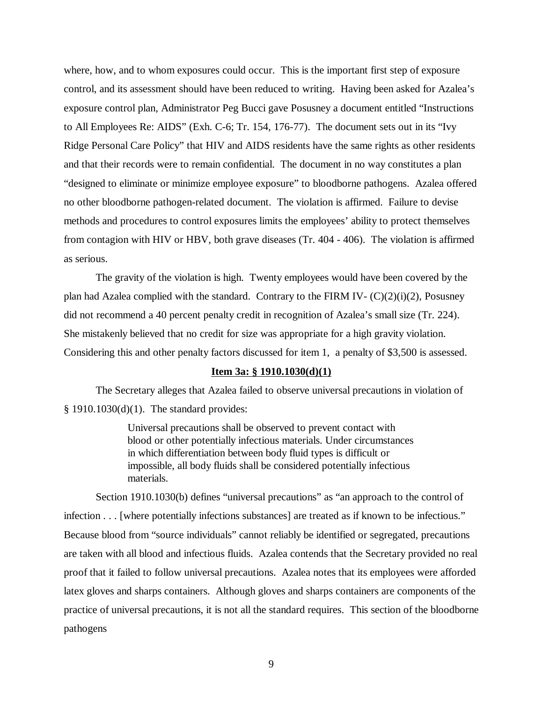where, how, and to whom exposures could occur. This is the important first step of exposure control, and its assessment should have been reduced to writing. Having been asked for Azalea's exposure control plan, Administrator Peg Bucci gave Posusney a document entitled "Instructions to All Employees Re: AIDS" (Exh. C-6; Tr. 154, 176-77). The document sets out in its "Ivy Ridge Personal Care Policy" that HIV and AIDS residents have the same rights as other residents and that their records were to remain confidential. The document in no way constitutes a plan "designed to eliminate or minimize employee exposure" to bloodborne pathogens. Azalea offered no other bloodborne pathogen-related document. The violation is affirmed. Failure to devise methods and procedures to control exposures limits the employees' ability to protect themselves from contagion with HIV or HBV, both grave diseases (Tr. 404 - 406). The violation is affirmed as serious.

The gravity of the violation is high. Twenty employees would have been covered by the plan had Azalea complied with the standard. Contrary to the FIRM IV- $(C)(2)(i)(2)$ , Posusney did not recommend a 40 percent penalty credit in recognition of Azalea's small size (Tr. 224). She mistakenly believed that no credit for size was appropriate for a high gravity violation. Considering this and other penalty factors discussed for item 1, a penalty of \$3,500 is assessed.

### **Item 3a: § 1910.1030(d)(1)**

The Secretary alleges that Azalea failed to observe universal precautions in violation of § 1910.1030(d)(1). The standard provides:

> Universal precautions shall be observed to prevent contact with blood or other potentially infectious materials. Under circumstances in which differentiation between body fluid types is difficult or impossible, all body fluids shall be considered potentially infectious materials.

Section 1910.1030(b) defines "universal precautions" as "an approach to the control of infection . . . [where potentially infections substances] are treated as if known to be infectious." Because blood from "source individuals" cannot reliably be identified or segregated, precautions are taken with all blood and infectious fluids. Azalea contends that the Secretary provided no real proof that it failed to follow universal precautions. Azalea notes that its employees were afforded latex gloves and sharps containers. Although gloves and sharps containers are components of the practice of universal precautions, it is not all the standard requires. This section of the bloodborne pathogens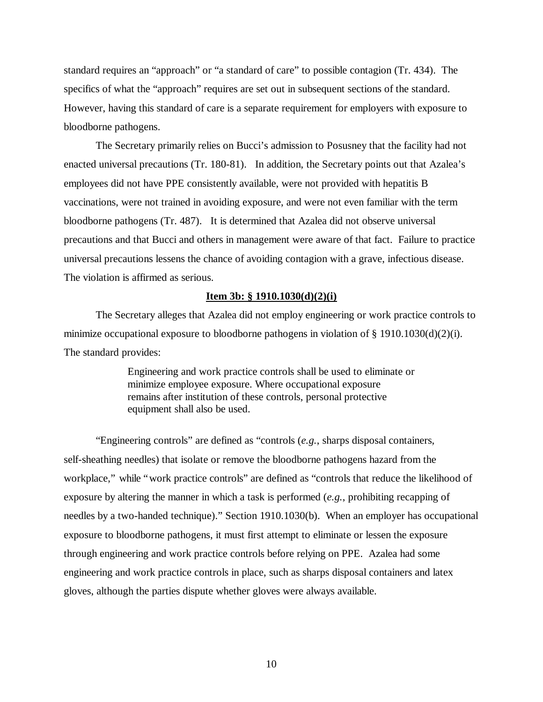standard requires an "approach" or "a standard of care" to possible contagion (Tr. 434). The specifics of what the "approach" requires are set out in subsequent sections of the standard. However, having this standard of care is a separate requirement for employers with exposure to bloodborne pathogens.

The Secretary primarily relies on Bucci's admission to Posusney that the facility had not enacted universal precautions (Tr. 180-81). In addition, the Secretary points out that Azalea's employees did not have PPE consistently available, were not provided with hepatitis B vaccinations, were not trained in avoiding exposure, and were not even familiar with the term bloodborne pathogens (Tr. 487). It is determined that Azalea did not observe universal precautions and that Bucci and others in management were aware of that fact. Failure to practice universal precautions lessens the chance of avoiding contagion with a grave, infectious disease. The violation is affirmed as serious.

### **Item 3b: § 1910.1030(d)(2)(i)**

The Secretary alleges that Azalea did not employ engineering or work practice controls to minimize occupational exposure to bloodborne pathogens in violation of  $\S$  1910.1030(d)(2)(i). The standard provides:

> Engineering and work practice controls shall be used to eliminate or minimize employee exposure. Where occupational exposure remains after institution of these controls, personal protective equipment shall also be used.

"Engineering controls" are defined as "controls (*e.g.*, sharps disposal containers, self-sheathing needles) that isolate or remove the bloodborne pathogens hazard from the workplace," while "work practice controls" are defined as "controls that reduce the likelihood of exposure by altering the manner in which a task is performed (*e.g.*, prohibiting recapping of needles by a two-handed technique)." Section 1910.1030(b). When an employer has occupational exposure to bloodborne pathogens, it must first attempt to eliminate or lessen the exposure through engineering and work practice controls before relying on PPE. Azalea had some engineering and work practice controls in place, such as sharps disposal containers and latex gloves, although the parties dispute whether gloves were always available.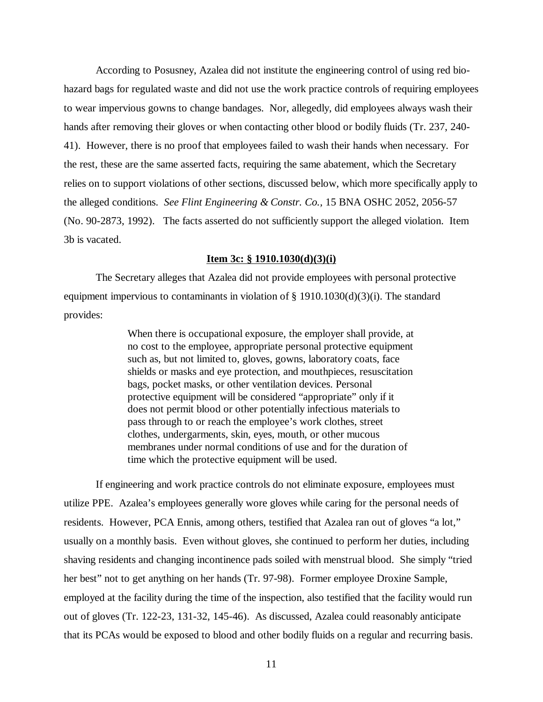According to Posusney, Azalea did not institute the engineering control of using red biohazard bags for regulated waste and did not use the work practice controls of requiring employees to wear impervious gowns to change bandages. Nor, allegedly, did employees always wash their hands after removing their gloves or when contacting other blood or bodily fluids (Tr. 237, 240- 41). However, there is no proof that employees failed to wash their hands when necessary. For the rest, these are the same asserted facts, requiring the same abatement, which the Secretary relies on to support violations of other sections, discussed below, which more specifically apply to the alleged conditions. *See Flint Engineering & Constr. Co.,* 15 BNA OSHC 2052, 2056-57 (No. 90-2873, 1992). The facts asserted do not sufficiently support the alleged violation. Item 3b is vacated.

## **Item 3c: § 1910.1030(d)(3)(i)**

The Secretary alleges that Azalea did not provide employees with personal protective equipment impervious to contaminants in violation of  $\S$  1910.1030(d)(3)(i). The standard provides:

> When there is occupational exposure, the employer shall provide, at no cost to the employee, appropriate personal protective equipment such as, but not limited to, gloves, gowns, laboratory coats, face shields or masks and eye protection, and mouthpieces, resuscitation bags, pocket masks, or other ventilation devices. Personal protective equipment will be considered "appropriate" only if it does not permit blood or other potentially infectious materials to pass through to or reach the employee's work clothes, street clothes, undergarments, skin, eyes, mouth, or other mucous membranes under normal conditions of use and for the duration of time which the protective equipment will be used.

If engineering and work practice controls do not eliminate exposure, employees must utilize PPE. Azalea's employees generally wore gloves while caring for the personal needs of residents. However, PCA Ennis, among others, testified that Azalea ran out of gloves "a lot," usually on a monthly basis. Even without gloves, she continued to perform her duties, including shaving residents and changing incontinence pads soiled with menstrual blood. She simply "tried her best" not to get anything on her hands (Tr. 97-98). Former employee Droxine Sample, employed at the facility during the time of the inspection, also testified that the facility would run out of gloves (Tr. 122-23, 131-32, 145-46). As discussed, Azalea could reasonably anticipate that its PCAs would be exposed to blood and other bodily fluids on a regular and recurring basis.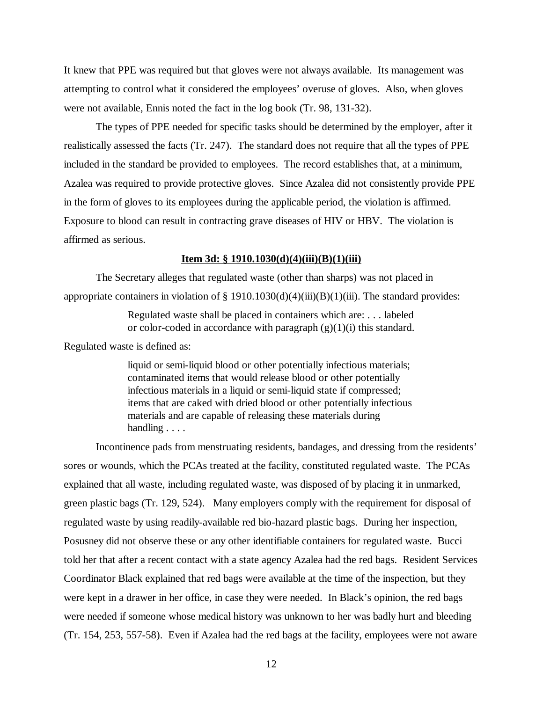It knew that PPE was required but that gloves were not always available. Its management was attempting to control what it considered the employees' overuse of gloves. Also, when gloves were not available, Ennis noted the fact in the log book (Tr. 98, 131-32).

The types of PPE needed for specific tasks should be determined by the employer, after it realistically assessed the facts (Tr. 247). The standard does not require that all the types of PPE included in the standard be provided to employees. The record establishes that, at a minimum, Azalea was required to provide protective gloves. Since Azalea did not consistently provide PPE in the form of gloves to its employees during the applicable period, the violation is affirmed. Exposure to blood can result in contracting grave diseases of HIV or HBV. The violation is affirmed as serious.

## **Item 3d: § 1910.1030(d)(4)(iii)(B)(1)(iii)**

The Secretary alleges that regulated waste (other than sharps) was not placed in appropriate containers in violation of § 1910.1030(d)(4)(iii)(B)(1)(iii). The standard provides:

> Regulated waste shall be placed in containers which are: . . . labeled or color-coded in accordance with paragraph  $(g)(1)(i)$  this standard.

Regulated waste is defined as:

liquid or semi-liquid blood or other potentially infectious materials; contaminated items that would release blood or other potentially infectious materials in a liquid or semi-liquid state if compressed; items that are caked with dried blood or other potentially infectious materials and are capable of releasing these materials during handling . . . .

Incontinence pads from menstruating residents, bandages, and dressing from the residents' sores or wounds, which the PCAs treated at the facility, constituted regulated waste. The PCAs explained that all waste, including regulated waste, was disposed of by placing it in unmarked, green plastic bags (Tr. 129, 524). Many employers comply with the requirement for disposal of regulated waste by using readily-available red bio-hazard plastic bags. During her inspection, Posusney did not observe these or any other identifiable containers for regulated waste. Bucci told her that after a recent contact with a state agency Azalea had the red bags. Resident Services Coordinator Black explained that red bags were available at the time of the inspection, but they were kept in a drawer in her office, in case they were needed. In Black's opinion, the red bags were needed if someone whose medical history was unknown to her was badly hurt and bleeding (Tr. 154, 253, 557-58). Even if Azalea had the red bags at the facility, employees were not aware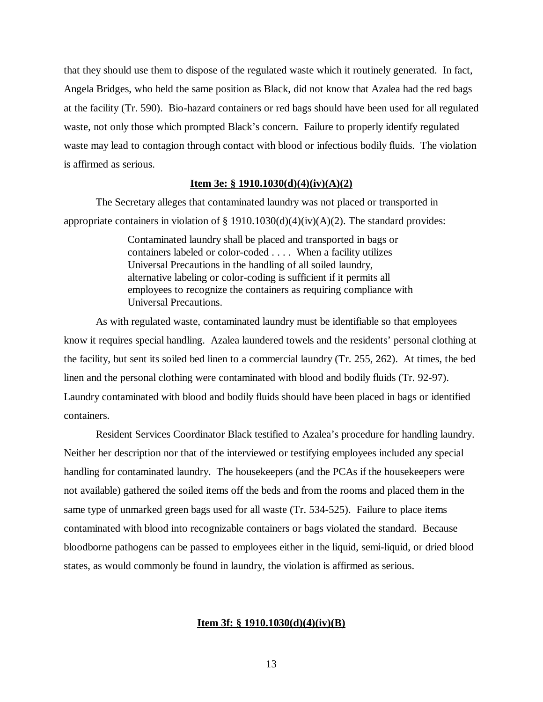that they should use them to dispose of the regulated waste which it routinely generated. In fact, Angela Bridges, who held the same position as Black, did not know that Azalea had the red bags at the facility (Tr. 590). Bio-hazard containers or red bags should have been used for all regulated waste, not only those which prompted Black's concern. Failure to properly identify regulated waste may lead to contagion through contact with blood or infectious bodily fluids. The violation is affirmed as serious.

# **Item 3e: § 1910.1030(d)(4)(iv)(A)(2)**

The Secretary alleges that contaminated laundry was not placed or transported in appropriate containers in violation of  $\S 1910.1030(d)(4)(iv)(A)(2)$ . The standard provides:

> Contaminated laundry shall be placed and transported in bags or containers labeled or color-coded . . . . When a facility utilizes Universal Precautions in the handling of all soiled laundry, alternative labeling or color-coding is sufficient if it permits all employees to recognize the containers as requiring compliance with Universal Precautions.

As with regulated waste, contaminated laundry must be identifiable so that employees know it requires special handling. Azalea laundered towels and the residents' personal clothing at the facility, but sent its soiled bed linen to a commercial laundry (Tr. 255, 262). At times, the bed linen and the personal clothing were contaminated with blood and bodily fluids (Tr. 92-97). Laundry contaminated with blood and bodily fluids should have been placed in bags or identified containers.

Resident Services Coordinator Black testified to Azalea's procedure for handling laundry. Neither her description nor that of the interviewed or testifying employees included any special handling for contaminated laundry. The housekeepers (and the PCAs if the housekeepers were not available) gathered the soiled items off the beds and from the rooms and placed them in the same type of unmarked green bags used for all waste (Tr. 534-525). Failure to place items contaminated with blood into recognizable containers or bags violated the standard. Because bloodborne pathogens can be passed to employees either in the liquid, semi-liquid, or dried blood states, as would commonly be found in laundry, the violation is affirmed as serious.

### **Item 3f: § 1910.1030(d)(4)(iv)(B)**

13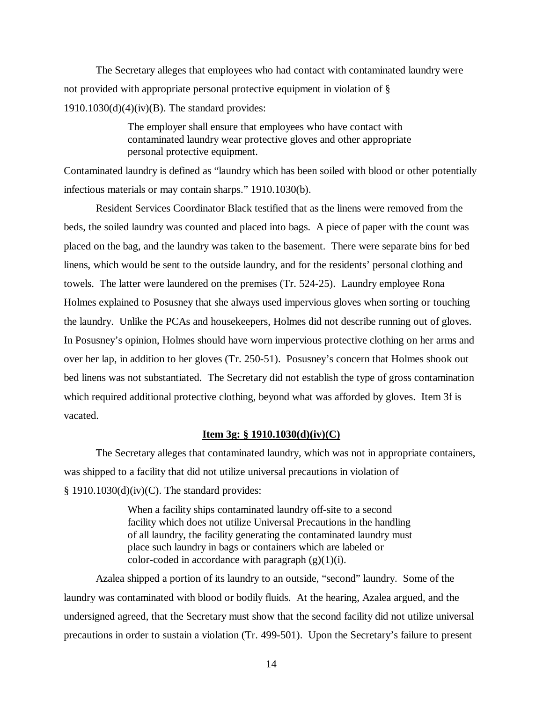The Secretary alleges that employees who had contact with contaminated laundry were not provided with appropriate personal protective equipment in violation of §  $1910.1030(d)(4)(iv)(B)$ . The standard provides:

> The employer shall ensure that employees who have contact with contaminated laundry wear protective gloves and other appropriate personal protective equipment.

Contaminated laundry is defined as "laundry which has been soiled with blood or other potentially infectious materials or may contain sharps." 1910.1030(b).

Resident Services Coordinator Black testified that as the linens were removed from the beds, the soiled laundry was counted and placed into bags. A piece of paper with the count was placed on the bag, and the laundry was taken to the basement. There were separate bins for bed linens, which would be sent to the outside laundry, and for the residents' personal clothing and towels. The latter were laundered on the premises (Tr. 524-25). Laundry employee Rona Holmes explained to Posusney that she always used impervious gloves when sorting or touching the laundry. Unlike the PCAs and housekeepers, Holmes did not describe running out of gloves. In Posusney's opinion, Holmes should have worn impervious protective clothing on her arms and over her lap, in addition to her gloves (Tr. 250-51). Posusney's concern that Holmes shook out bed linens was not substantiated. The Secretary did not establish the type of gross contamination which required additional protective clothing, beyond what was afforded by gloves. Item 3f is vacated.

# **Item 3g: § 1910.1030(d)(iv)(C)**

The Secretary alleges that contaminated laundry, which was not in appropriate containers, was shipped to a facility that did not utilize universal precautions in violation of  $§$  1910.1030(d)(iv)(C). The standard provides:

> When a facility ships contaminated laundry off-site to a second facility which does not utilize Universal Precautions in the handling of all laundry, the facility generating the contaminated laundry must place such laundry in bags or containers which are labeled or color-coded in accordance with paragraph  $(g)(1)(i)$ .

Azalea shipped a portion of its laundry to an outside, "second" laundry. Some of the laundry was contaminated with blood or bodily fluids. At the hearing, Azalea argued, and the undersigned agreed, that the Secretary must show that the second facility did not utilize universal precautions in order to sustain a violation (Tr. 499-501). Upon the Secretary's failure to present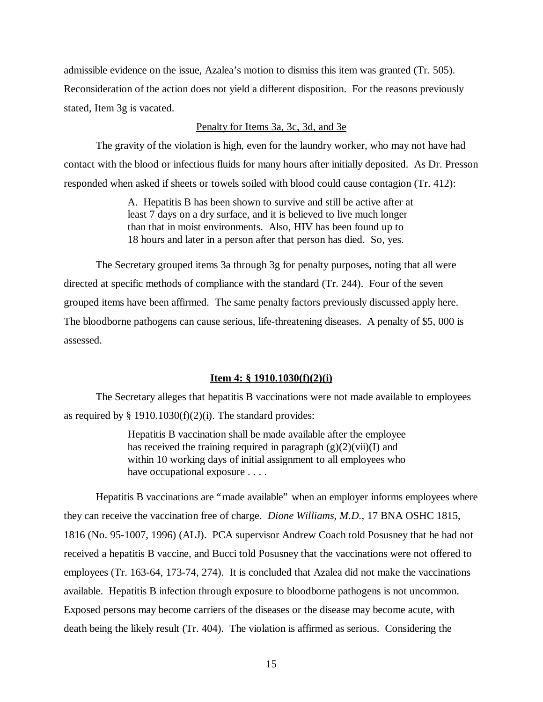admissible evidence on the issue, Azalea's motion to dismiss this item was granted (Tr. 505). Reconsideration of the action does not yield a different disposition. For the reasons previously stated, Item 3g is vacated.

# Penalty for Items 3a, 3c, 3d, and 3e

The gravity of the violation is high, even for the laundry worker, who may not have had contact with the blood or infectious fluids for many hours after initially deposited. As Dr. Presson responded when asked if sheets or towels soiled with blood could cause contagion (Tr. 412):

> A. Hepatitis B has been shown to survive and still be active after at least 7 days on a dry surface, and it is believed to live much longer than that in moist environments. Also, HIV has been found up to 18 hours and later in a person after that person has died. So, yes.

The Secretary grouped items 3a through 3g for penalty purposes, noting that all were directed at specific methods of compliance with the standard (Tr. 244). Four of the seven grouped items have been affirmed. The same penalty factors previously discussed apply here. The bloodborne pathogens can cause serious, life-threatening diseases. A penalty of \$5, 000 is assessed.

# **Item 4: § 1910.1030(f)(2)(i)**

The Secretary alleges that hepatitis B vaccinations were not made available to employees as required by  $\S$  1910.1030(f)(2)(i). The standard provides:

> Hepatitis B vaccination shall be made available after the employee has received the training required in paragraph  $(g)(2)(vi)(I)$  and within 10 working days of initial assignment to all employees who have occupational exposure . . . .

Hepatitis B vaccinations are "made available" when an employer informs employees where they can receive the vaccination free of charge. *Dione Williams, M.D.,* 17 BNA OSHC 1815, 1816 (No. 95-1007, 1996) (ALJ). PCA supervisor Andrew Coach told Posusney that he had not received a hepatitis B vaccine, and Bucci told Posusney that the vaccinations were not offered to employees (Tr. 163-64, 173-74, 274). It is concluded that Azalea did not make the vaccinations available. Hepatitis B infection through exposure to bloodborne pathogens is not uncommon. Exposed persons may become carriers of the diseases or the disease may become acute, with death being the likely result (Tr. 404). The violation is affirmed as serious. Considering the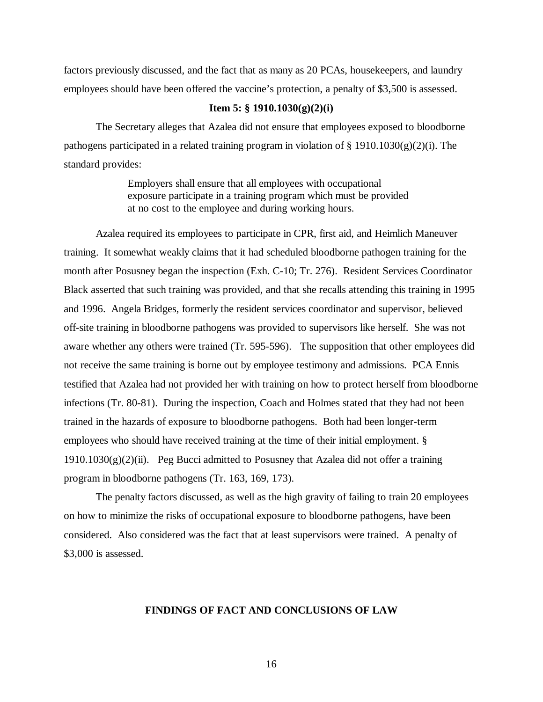factors previously discussed, and the fact that as many as 20 PCAs, housekeepers, and laundry employees should have been offered the vaccine's protection, a penalty of \$3,500 is assessed.

# **Item 5: § 1910.1030(g)(2)(i)**

The Secretary alleges that Azalea did not ensure that employees exposed to bloodborne pathogens participated in a related training program in violation of  $\S$  1910.1030(g)(2)(i). The standard provides:

> Employers shall ensure that all employees with occupational exposure participate in a training program which must be provided at no cost to the employee and during working hours.

Azalea required its employees to participate in CPR, first aid, and Heimlich Maneuver training. It somewhat weakly claims that it had scheduled bloodborne pathogen training for the month after Posusney began the inspection (Exh. C-10; Tr. 276). Resident Services Coordinator Black asserted that such training was provided, and that she recalls attending this training in 1995 and 1996. Angela Bridges, formerly the resident services coordinator and supervisor, believed off-site training in bloodborne pathogens was provided to supervisors like herself. She was not aware whether any others were trained (Tr. 595-596). The supposition that other employees did not receive the same training is borne out by employee testimony and admissions. PCA Ennis testified that Azalea had not provided her with training on how to protect herself from bloodborne infections (Tr. 80-81). During the inspection, Coach and Holmes stated that they had not been trained in the hazards of exposure to bloodborne pathogens. Both had been longer-term employees who should have received training at the time of their initial employment. §  $1910.1030(g)(2)(ii)$ . Peg Bucci admitted to Posusney that Azalea did not offer a training program in bloodborne pathogens (Tr. 163, 169, 173).

The penalty factors discussed, as well as the high gravity of failing to train 20 employees on how to minimize the risks of occupational exposure to bloodborne pathogens, have been considered. Also considered was the fact that at least supervisors were trained. A penalty of \$3,000 is assessed.

# **FINDINGS OF FACT AND CONCLUSIONS OF LAW**

16